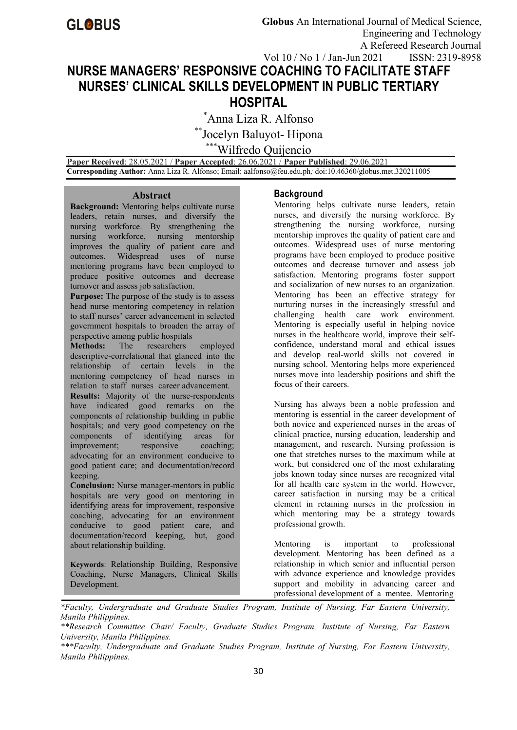# **NURSE MANAGERS' RESPONSIVE COACHING TO FACILITATE STAFF NURSES' CLINICAL SKILLS DEVELOPMENT IN PUBLIC TERTIARY HOSPITAL**

\*Anna Liza R. Alfonso

\*\*Jocelyn Baluyot- Hipona

\*\*\*Wilfredo Quijencio

**Paper Received**: 28.05.2021 / **Paper Accepted**: 26.06.2021 / **Paper Published**: 29.06.2021 **Corresponding Author:** Anna Liza R. Alfonso; Email: aalfonso@feu.edu.ph*;* doi:10.46360/globus.met.320211005

#### **Abstract**

**Background:** Mentoring helps cultivate nurse leaders, retain nurses, and diversify the nursing workforce. By strengthening the nursing workforce, nursing mentorship improves the quality of patient care and outcomes. Widespread uses of nurse mentoring programs have been employed to produce positive outcomes and decrease turnover and assess job satisfaction.

**Purpose:** The purpose of the study is to assess head nurse mentoring competency in relation to staff nurses' career advancement in selected government hospitals to broaden the array of perspective among public hospitals<br> **Methods:** The researchers employed

**Methods:** The researchers descriptive-correlational that glanced into the relationship of certain levels in the mentoring competency of head nurses in relation to staff nurses career advancement. **Results:** Majority of the nurse-respondents have indicated good remarks on the components of relationship building in public hospitals; and very good competency on the components of identifying areas for improvement; responsive coaching; advocating for an environment conducive to good patient care; and documentation/record keeping.

**Conclusion:** Nurse manager-mentors in public hospitals are very good on mentoring in identifying areas for improvement, responsive coaching, advocating for an environment conducive to good patient care, and documentation/record keeping, but, good about relationship building.

**Keywords**: Relationship Building, Responsive Coaching, Nurse Managers, Clinical Skills Development.

# **Background**

Mentoring helps cultivate nurse leaders, retain nurses, and diversify the nursing workforce. By strengthening the nursing workforce, nursing mentorship improves the quality of patient care and outcomes. Widespread uses of nurse mentoring programs have been employed to produce positive outcomes and decrease turnover and assess job satisfaction. Mentoring programs foster support and socialization of new nurses to an organization. Mentoring has been an effective strategy for nurturing nurses in the increasingly stressful and challenging health care work environment. Mentoring is especially useful in helping novice nurses in the healthcare world, improve their self confidence, understand moral and ethical issues and develop real-world skills not covered in nursing school. Mentoring helps more experienced nurses move into leadership positions and shift the focus of their careers.

Nursing has always been a noble profession and mentoring is essential in the career development of both novice and experienced nurses in the areas of clinical practice, nursing education, leadership and management, and research. Nursing profession is one that stretches nurses to the maximum while at work, but considered one of the most exhilarating jobs known today since nurses are recognized vital for all health care system in the world. However, career satisfaction in nursing may be a critical element in retaining nurses in the profession in which mentoring may be a strategy towards professional growth.

Mentoring is important to professional development. Mentoring has been defined as a relationship in which senior and influential person with advance experience and knowledge provides support and mobility in advancing career and professional development of a mentee. Mentoring

*<sup>\*</sup>Faculty, Undergraduate and Graduate Studies Program, Institute of Nursing, Far Eastern University, Manila Philippines.*

*<sup>\*\*</sup>Research Committee Chair/ Faculty, Graduate Studies Program, Institute of Nursing, Far Eastern University, Manila Philippines.*

*<sup>\*\*\*</sup>Faculty, Undergraduate and Graduate Studies Program, Institute of Nursing, Far Eastern University, Manila Philippines.*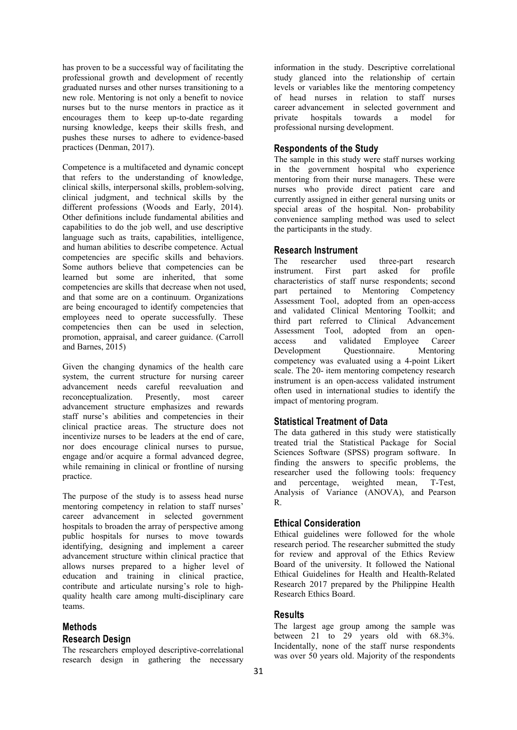has proven to be a successful way of facilitating the professional growth and development of recently graduated nurses and other nurses transitioning to a new role. Mentoring is not only a benefit to novice nurses but to the nurse mentors in practice as it encourages them to keep up-to-date regarding nursing knowledge, keeps their skills fresh, and pushes these nurses to adhere to evidence-based practices (Denman, 2017).

Competence is a multifaceted and dynamic concept that refers to the understanding of knowledge, clinical skills, interpersonal skills, problem-solving, clinical judgment, and technical skills by the different professions (Woods and Early, 2014). Other definitions include fundamental abilities and capabilities to do the job well, and use descriptive language such as traits, capabilities, intelligence, and human abilities to describe competence. Actual competencies are specific skills and behaviors. Some authors believe that competencies can be learned but some are inherited, that some competencies are skills that decrease when not used, and that some are on a continuum. Organizations are being encouraged to identify competencies that employees need to operate successfully. These competencies then can be used in selection, promotion, appraisal, and career guidance. (Carroll access and Barnes, 2015)

Given the changing dynamics of the health care system, the current structure for nursing career advancement needs careful reevaluation and reconceptualization. Presently, most career advancement structure emphasizes and rewards staff nurse's abilities and competencies in their clinical practice areas. The structure does not incentivize nurses to be leaders at the end of care, nor does encourage clinical nurses to pursue, engage and/or acquire a formal advanced degree, while remaining in clinical or frontline of nursing practice.

The purpose of the study is to assess head nurse mentoring competency in relation to staff nurses' career advancement in selected government hospitals to broaden the array of perspective among public hospitals for nurses to move towards identifying, designing and implement a career advancement structure within clinical practice that allows nurses prepared to a higher level of education and training in clinical practice, contribute and articulate nursing's role to high quality health care among multi-disciplinary care teams.

# **Methods Research Design**

The researchers employed descriptive-correlational research design in gathering the necessary

information in the study. Descriptive correlational study glanced into the relationship of certain levels or variables like the mentoring competency of head nurses in relation to staff nurses career advancement in selected government and towards a model for professional nursing development.

#### **Respondents of the Study**

The sample in this study were staff nurses working in the government hospital who experience mentoring from their nurse managers. These were nurses who provide direct patient care and currently assigned in either general nursing units or special areas of the hospital. Non- probability convenience sampling method was used to select the participants in the study.

#### **Research Instrument**

The researcher used three-part research<br>instrument. First part asked for profile instrument. First part characteristics of staff nurse respondents; second part pertained to Mentoring Competency Assessment Tool, adopted from an open-access and validated Clinical Mentoring Toolkit; and third part referred to Clinical Advancement Assessment Tool, adopted from an open and validated Employee Career Development Questionnaire. Mentoring competency was evaluated using a 4-point Likert scale. The 20- item mentoring competency research instrument is an open-access validated instrument often used in international studies to identify the impact of mentoring program.

#### **Statistical Treatment of Data**

The data gathered in this study were statistically treated trial the Statistical Package for Social Sciences Software (SPSS) program software. In finding the answers to specific problems, the researcher used the following tools: frequency and percentage, weighted mean, T-Test, Analysis of Variance (ANOVA), and Pearson R.

### **Ethical Consideration**

Ethical guidelines were followed for the whole research period. The researcher submitted the study for review and approval of the Ethics Review Board of the university. It followed the National Ethical Guidelines for Health and Health-Related Research 2017 prepared by the Philippine Health Research Ethics Board.

#### **Results**

The largest age group among the sample was between 21 to 29 years old with 68.3%. Incidentally, none of the staff nurse respondents was over 50 years old. Majority of the respondents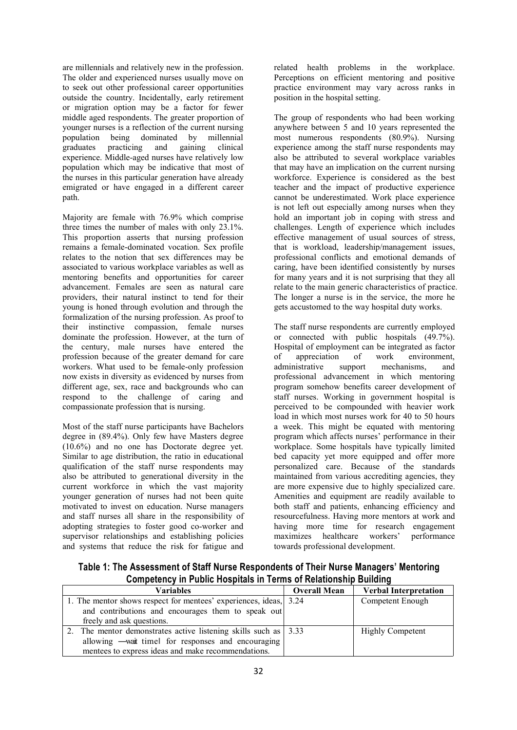are millennials and relatively new in the profession. The older and experienced nurses usually move on to seek out other professional career opportunities outside the country. Incidentally, early retirement or migration option may be a factor for fewer middle aged respondents. The greater proportion of younger nurses is a reflection of the current nursing population being dominated by millennial graduates practicing and gaining clinical experience. Middle-aged nurses have relatively low population which may be indicative that most of the nurses in this particular generation have already emigrated or have engaged in a different career path.

Majority are female with 76.9% which comprise three times the number of males with only 23.1%. This proportion asserts that nursing profession remains a female-dominated vocation. Sex profile relates to the notion that sex differences may be associated to various workplace variables as well as mentoring benefits and opportunities for career advancement. Females are seen as natural care providers, their natural instinct to tend for their young is honed through evolution and through the formalization of the nursing profession.As proof to their instinctive compassion, female nurses dominate the profession. However, at the turn of the century, male nurses have entered the profession because of the greater demand for care of appreciation workers. What used to be female-only profession now exists in diversity as evidenced by nurses from different age, sex, race and backgrounds who can respond to the challenge of caring and compassionate profession that is nursing.

Most of the staff nurse participants have Bachelors degree in (89.4%). Only few have Masters degree (10.6%) and no one has Doctorate degree yet. Similar to age distribution, the ratio in educational qualification of the staff nurse respondents may also be attributed to generational diversity in the current workforce in which the vast majority younger generation of nurses had not been quite motivated to invest on education. Nurse managers and staff nurses all share in the responsibility of adopting strategies to foster good co-worker and supervisor relationships and establishing policies and systems that reduce the risk for fatigue and

related health problems in the workplace. Perceptions on efficient mentoring and positive practice environment may vary across ranks in position in the hospital setting.

The group of respondents who had been working anywhere between 5 and 10 years represented the most numerous respondents (80.9%). Nursing experience among the staff nurse respondents may also be attributed to several workplace variables that may have an implication on the current nursing workforce. Experience is considered as the best teacher and the impact of productive experience cannot be underestimated. Work place experience is not left out especially among nurses when they hold an important job in coping with stress and challenges. Length of experience which includes effective management of usual sources of stress, that is workload, leadership/management issues, professional conflicts and emotional demands of caring, have been identified consistently by nurses for many years and it is not surprising that they all relate to the main generic characteristics of practice. The longer a nurse is in the service, the more he gets accustomed to the way hospital duty works.

The staff nurse respondents are currently employed or connected with public hospitals (49.7%). Hospital of employment can be integrated as factor of work environment, administrative support mechanisms, and professional advancement in which mentoring program somehow benefits career development of staff nurses. Working in government hospital is perceived to be compounded with heavier work load in which most nurses work for 40 to 50 hours a week. This might be equated with mentoring program which affects nurses' performance in their workplace. Some hospitals have typically limited bed capacity yet more equipped and offer more personalized care. Because of the standards maintained from various accrediting agencies, they are more expensive due to highly specialized care. Amenities and equipment are readily available to both staff and patients, enhancing efficiency and resourcefulness. Having more mentors at work and having more time for research engagement maximizes healthcare workers' performance towards professional development.

**Table 1: The Assessment of Staff Nurse Respondents of Their Nurse Managers' Mentoring Competency in Public Hospitals in Terms of Relationship Building**

| Variables                                                                    | <b>Overall Mean</b> | <b>Verbal Interpretation</b> |
|------------------------------------------------------------------------------|---------------------|------------------------------|
| 1. The mentor shows respect for mentees' experiences, ideas, 3.24            |                     | Competent Enough             |
| and contributions and encourages them to speak out                           |                     |                              |
| freely and ask questions.                                                    |                     |                              |
| The mentor demonstrates active listening skills such as $\vert 3.33 \rangle$ |                     | <b>Highly Competent</b>      |
| allowing - wait time for responses and encouraging                           |                     |                              |
| mentees to express ideas and make recommendations.                           |                     |                              |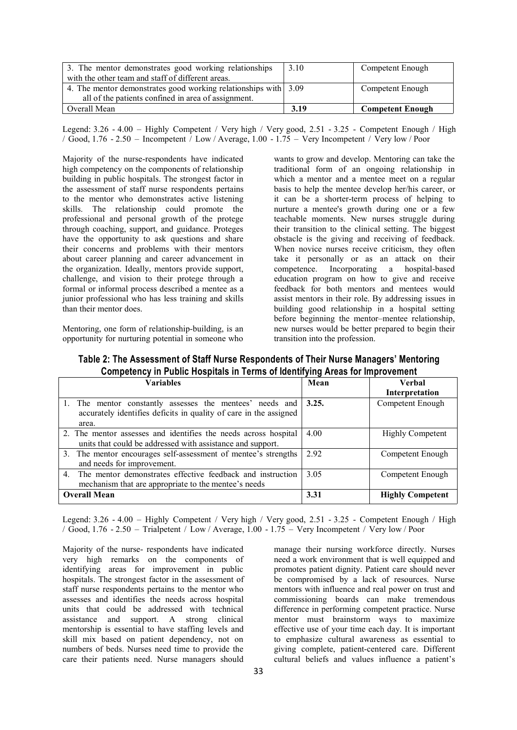| 3. The mentor demonstrates good working relationships           | 3.10 | Competent Enough        |
|-----------------------------------------------------------------|------|-------------------------|
| with the other team and staff of different areas.               |      |                         |
| 4. The mentor demonstrates good working relationships with 3.09 |      | Competent Enough        |
| all of the patients confined in area of assignment.             |      |                         |
| Overall Mean                                                    | 3.19 | <b>Competent Enough</b> |

Legend: 3.26 - 4.00 – Highly Competent / Very high / Very good, 2.51 - 3.25 - Competent Enough / High / Good, 1.76 - 2.50 – Incompetent / Low / Average, 1.00 - 1.75 – Very Incompetent / Very low / Poor

Majority of the nurse-respondents have indicated high competency on the components of relationship building in public hospitals. The strongest factor in the assessment of staff nurse respondents pertains to the mentor who demonstrates active listening skills. The relationship could promote the professional and personal growth of the protege through coaching, support, and guidance. Proteges have the opportunity to ask questions and share their concerns and problems with their mentors about career planning and career advancement in the organization. Ideally, mentors provide support, challenge, and vision to their protege through a formal or informal process described a mentee as a junior professional who has less training and skills than their mentor does.

Mentoring, one form of relationship-building, is an opportunity for nurturing potential in someone who wants to grow and develop. Mentoring can take the traditional form of an ongoing relationship in which a mentor and a mentee meet on a regular basis to help the mentee develop her/his career, or it can be a shorter-term process of helping to nurture a mentee's growth during one or a few teachable moments. New nurses struggle during their transition to the clinical setting. The biggest obstacle is the giving and receiving of feedback. When novice nurses receive criticism, they often take it personally or as an attack on their competence. Incorporating a hospital-based education program on how to give and receive feedback for both mentors and mentees would assist mentors in their role. By addressing issues in building good relationship in a hospital setting before beginning the mentor–mentee relationship, new nurses would be better prepared to begin their transition into the profession.

| <u>UU mpuunu mpuu muutamaa ka ka muutamaa ka maalinna muutamaa ka ka mpuu mpuu muuta ka m</u>                                       |       |                          |
|-------------------------------------------------------------------------------------------------------------------------------------|-------|--------------------------|
| Variables                                                                                                                           | Mean  | Verbal<br>Interpretation |
| The mentor constantly assesses the mentees' needs and<br>accurately identifies deficits in quality of care in the assigned<br>area. | 3.25. | Competent Enough         |
| 2. The mentor assesses and identifies the needs across hospital<br>units that could be addressed with assistance and support.       | 4.00  | <b>Highly Competent</b>  |
| 3. The mentor encourages self-assessment of mentee's strengths<br>and needs for improvement.                                        | 2.92  | Competent Enough         |
| The mentor demonstrates effective feedback and instruction<br>4.<br>mechanism that are appropriate to the mentee's needs            | 3.05  | Competent Enough         |
| <b>Overall Mean</b>                                                                                                                 | 3.31  | <b>Highly Competent</b>  |

**Table 2: The Assessment of Staff Nurse Respondents of Their Nurse Managers' Mentoring Competency in Public Hospitals in Terms of Identifying Areas for Improvement**

Legend: 3.26 - 4.00 – Highly Competent / Very high / Very good, 2.51 - 3.25 - Competent Enough / High / Good, 1.76 - 2.50 – Trialpetent / Low / Average, 1.00 - 1.75 – Very Incompetent / Very low / Poor

Majority of the nurse- respondents have indicated very high remarks on the components of identifying areas for improvement in public hospitals. The strongest factor in the assessment of staff nurse respondents pertains to the mentor who assesses and identifies the needs across hospital units that could be addressed with technical assistance and support. A strong clinical mentorship is essential to have staffing levels and skill mix based on patient dependency, not on numbers of beds. Nurses need time to provide the care their patients need. Nurse managers should

manage their nursing workforce directly. Nurses need a work environment that is well equipped and promotes patient dignity. Patient care should never be compromised by a lack of resources. Nurse mentors with influence and real power on trust and commissioning boards can make tremendous difference in performing competent practice. Nurse mentor must brainstorm ways to maximize effective use of your time each day. It is important to emphasize cultural awareness as essential to giving complete, patient-centered care. Different cultural beliefs and values influence a patient's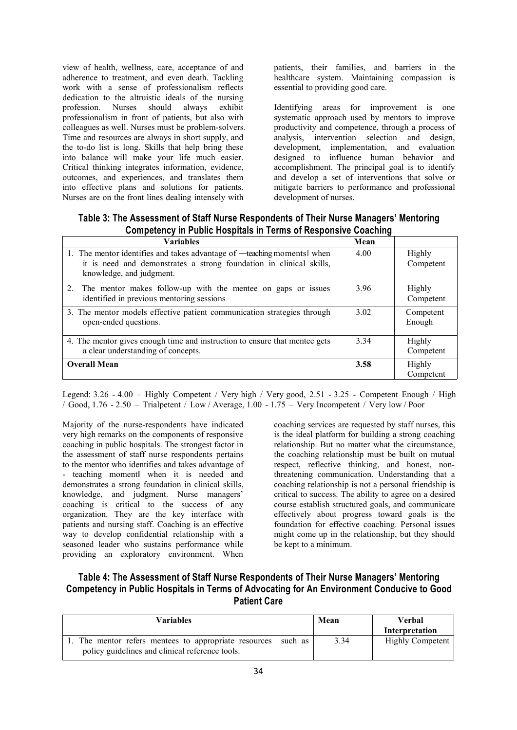view of health, wellness, care, acceptance of and adherence to treatment, and even death. Tackling work with a sense of professionalism reflects dedication to the altruistic ideals of the nursing profession. Nurses should always exhibit professionalism in front of patients, but also with colleagues as well. Nurses must be problem-solvers. Time and resources are always in short supply, and the to-do list is long. Skills that help bring these into balance will make your life much easier. Critical thinking integrates information, evidence, outcomes, and experiences, and translates them into effective plans and solutions for patients. Nurses are on the front lines dealing intensely with

patients, their families, and barriers in the healthcare system. Maintaining compassion is essential to providing good care.

Identifying areas for improvement is one systematic approach used by mentors to improve productivity and competence, through a process of analysis, intervention selection and design, development, implementation, and evaluation designed to influence human behavior and accomplishment. The principal goal is to identify and develop a set of interventions that solve or mitigate barriers to performance and professional development of nurses.

| <b>Variables</b>                                                                                                                                                          | Mean |                     |
|---------------------------------------------------------------------------------------------------------------------------------------------------------------------------|------|---------------------|
| 1. The mentor identifies and takes advantage of —teaching moments when<br>it is need and demonstrates a strong foundation in clinical skills,<br>knowledge, and judgment. | 4.00 | Highly<br>Competent |
| 2. The mentor makes follow-up with the mentee on gaps or issues<br>identified in previous mentoring sessions                                                              | 3.96 | Highly<br>Competent |
| 3. The mentor models effective patient communication strategies through<br>open-ended questions.                                                                          | 3.02 | Competent<br>Enough |
| 4. The mentor gives enough time and instruction to ensure that mentee gets<br>a clear understanding of concepts.                                                          | 3.34 | Highly<br>Competent |
| <b>Overall Mean</b>                                                                                                                                                       | 3.58 | Highly<br>Competent |

**Table 3: The Assessment of Staff Nurse Respondents of Their Nurse Managers' Mentoring Competency in Public Hospitals in Terms of Responsive Coaching**

Legend: 3.26 - 4.00 – Highly Competent / Very high / Very good, 2.51 - 3.25 - Competent Enough / High / Good, 1.76 - 2.50 – Trialpetent / Low / Average, 1.00 - 1.75 – Very Incompetent / Very low / Poor

Majority of the nurse-respondents have indicated very high remarks on the components of responsive coaching in public hospitals. The strongest factor in the assessment of staff nurse respondents pertains to the mentor who identifies and takes advantage of - teaching moment‖ when it is needed and demonstrates a strong foundation in clinical skills, knowledge, and judgment. Nurse managers' coaching is critical to the success of any organization. They are the key interface with patients and nursing staff. Coaching is an effective way to develop confidential relationship with a seasoned leader who sustains performance while providing an exploratory environment. When

coaching services are requested by staff nurses, this is the ideal platform for building a strong coaching relationship. But no matter what the circumstance, the coaching relationship must be built on mutual respect, reflective thinking, and honest, nonthreatening communication. Understanding that a coaching relationship is not a personal friendship is critical to success. The ability to agree on a desired course establish structured goals, and communicate effectively about progress toward goals is the foundation for effective coaching. Personal issues might come up in the relationship, but they should be kept to a minimum.

# **Table 4: The Assessment of Staff Nurse Respondents of Their Nurse Managers' Mentoring Competency in Public Hospitals in Terms of Advocating for An Environment Conducive to Good Patient Care**

| Variables                                                                                                       | Mean | Verbal<br>Interpretation |
|-----------------------------------------------------------------------------------------------------------------|------|--------------------------|
| The mentor refers mentees to appropriate resources such as I<br>policy guidelines and clinical reference tools. | 3.34 | <b>Highly Competent</b>  |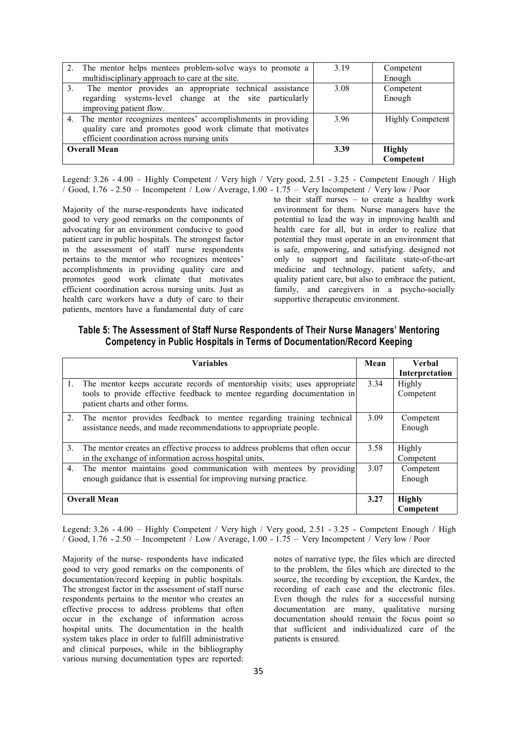| 2. The mentor helps mentees problem-solve ways to promote a    | 3.19 | Competent               |
|----------------------------------------------------------------|------|-------------------------|
| multidisciplinary approach to care at the site.                |      | Enough                  |
| 3. The mentor provides an appropriate technical assistance     | 3.08 | Competent               |
| regarding systems-level change at the site particularly        |      | Enough                  |
| improving patient flow.                                        |      |                         |
| 4. The mentor recognizes mentees' accomplishments in providing | 3.96 | <b>Highly Competent</b> |
| quality care and promotes good work climate that motivates     |      |                         |
| efficient coordination across nursing units                    |      |                         |
| <b>Overall Mean</b>                                            | 3.39 | <b>Highly</b>           |
|                                                                |      | Competent               |

Legend: 3.26 - 4.00 – Highly Competent / Very high / Very good, 2.51 - 3.25 - Competent Enough / High / Good, 1.76 - 2.50 – Incompetent / Low / Average, 1.00 - 1.75 – Very Incompetent / Very low / Poor

Majority of the nurse-respondents have indicated good to very good remarks on the components of advocating for an environment conducive to good patient care in public hospitals. The strongest factor in the assessment of staff nurse respondents pertains to the mentor who recognizes mentees' accomplishments in providing quality care and promotes good work climate that motivates efficient coordination across nursing units. Just as health care workers have a duty of care to their patients, mentors have a fundamental duty of care to their staff nurses – to create a healthy work environment for them. Nurse managers have the potential to lead the way in improving health and health care for all, but in order to realize that potential they must operate in an environment that is safe, empowering, and satisfying. designed not only to support and facilitate state-of-the-art medicine and technology, patient safety, and quality patient care, but also to embrace the patient, family, and caregivers in a psycho-socially supportive therapeutic environment.

| Table 5: The Assessment of Staff Nurse Respondents of Their Nurse Managers' Mentoring |
|---------------------------------------------------------------------------------------|
| Competency in Public Hospitals in Terms of Documentation/Record Keeping               |

|    | <b>Variables</b>                                                                                                                                                                        | Mean | <b>Verbal</b><br>Interpretation |
|----|-----------------------------------------------------------------------------------------------------------------------------------------------------------------------------------------|------|---------------------------------|
|    | The mentor keeps accurate records of mentorship visits; uses appropriate<br>tools to provide effective feedback to mentee regarding documentation in<br>patient charts and other forms. | 3.34 | Highly<br>Competent             |
| 2. | The mentor provides feedback to mentee regarding training technical<br>assistance needs, and made recommendations to appropriate people.                                                | 3.09 | Competent<br>Enough             |
| 3. | The mentor creates an effective process to address problems that often occur<br>in the exchange of information across hospital units.                                                   | 3.58 | Highly<br>Competent             |
| 4. | The mentor maintains good communication with mentees by providing<br>enough guidance that is essential for improving nursing practice.                                                  | 3.07 | Competent<br>Enough             |
|    | <b>Overall Mean</b>                                                                                                                                                                     | 3.27 | <b>Highly</b><br>Competent      |

Legend: 3.26 - 4.00 – Highly Competent / Very high / Very good, 2.51 - 3.25 - Competent Enough / High / Good, 1.76 - 2.50 – Incompetent / Low / Average, 1.00 - 1.75 – Very Incompetent / Very low / Poor

Majority of the nurse- respondents have indicated good to very good remarks on the components of documentation/record keeping in public hospitals. The strongest factor in the assessment of staff nurse respondents pertains to the mentor who creates an effective process to address problems that often occur in the exchange of information across hospital units. The documentation in the health system takes place in order to fulfill administrative and clinical purposes, while in the bibliography various nursing documentation types are reported:

notes of narrative type, the files which are directed to the problem, the files which are directed to the source, the recording by exception, the Kardex, the recording of each case and the electronic files. Even though the rules for a successful nursing documentation are many, qualitative nursing documentation should remain the focus point so that sufficient and individualized care of the patients is ensured.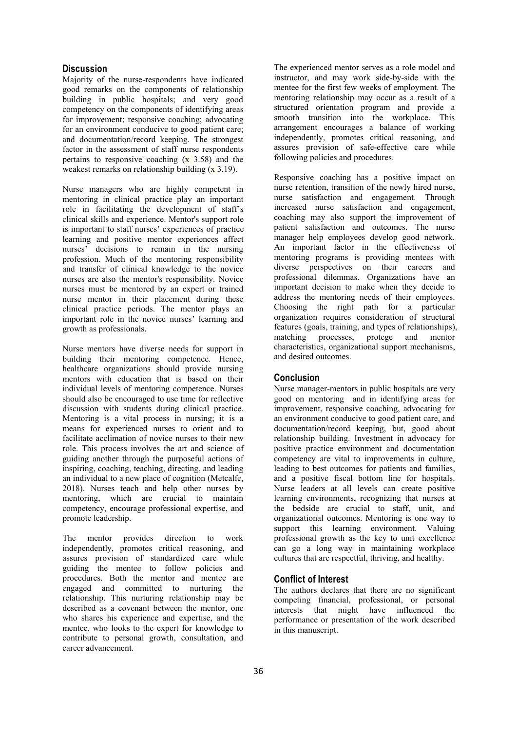#### **Discussion**

Majority of the nurse-respondents have indicated good remarks on the components of relationship building in public hospitals; and very good competency on the components of identifying areas for improvement; responsive coaching; advocating for an environment conducive to good patient care; and documentation/record keeping. The strongest factor in the assessment of staff nurse respondents pertains to responsive coaching  $(x, 3.58)$  and the weakest remarks on relationship building  $(x 3.19)$ .

Nurse managers who are highly competent in mentoring in clinical practice play an important role in facilitating the development of staff's clinical skills and experience. Mentor's support role is important to staff nurses' experiences of practice learning and positive mentor experiences affect nurses' decisions to remain in the nursing profession. Much of the mentoring responsibility and transfer of clinical knowledge to the novice nurses are also the mentor's responsibility. Novice nurses must be mentored by an expert or trained nurse mentor in their placement during these clinical practice periods. The mentor plays an important role in the novice nurses' learning and growth as professionals.

Nurse mentors have diverse needs for support in building their mentoring competence. Hence, healthcare organizations should provide nursing mentors with education that is based on their individual levels of mentoring competence. Nurses should also be encouraged to use time for reflective discussion with students during clinical practice. Mentoring is a vital process in nursing; it is a means for experienced nurses to orient and to facilitate acclimation of novice nurses to their new role. This process involves the art and science of guiding another through the purposeful actions of inspiring, coaching, teaching, directing, and leading an individual to a new place of cognition (Metcalfe, 2018). Nurses teach and help other nurses by mentoring, which are crucial to maintain competency, encourage professional expertise, and promote leadership.

The mentor provides direction to work independently, promotes critical reasoning, and assures provision of standardized care while guiding the mentee to follow policies and procedures. Both the mentor and mentee are engaged and committed to nurturing the relationship. This nurturing relationship may be described as a covenant between the mentor, one who shares his experience and expertise, and the mentee, who looks to the expert for knowledge to contribute to personal growth, consultation, and career advancement.

The experienced mentor serves as a role model and instructor, and may work side-by-side with the mentee for the first few weeks of employment. The mentoring relationship may occur as a result of a structured orientation program and provide a smooth transition into the workplace. This arrangement encourages a balance of working independently, promotes critical reasoning, and assures provision of safe-effective care while following policies and procedures.

Responsive coaching has a positive impact on nurse retention, transition of the newly hired nurse, nurse satisfaction and engagement. Through increased nurse satisfaction and engagement, coaching may also support the improvement of patient satisfaction and outcomes. The nurse manager help employees develop good network. An important factor in the effectiveness of mentoring programs is providing mentees with diverse perspectives on their careers and professional dilemmas. Organizations have an important decision to make when they decide to address the mentoring needs of their employees. Choosing the right path for a particular organization requires consideration of structural features (goals, training, and types of relationships),<br>matching processes, protege and mentor matching processes, protege and mentor characteristics, organizational support mechanisms, and desired outcomes.

#### **Conclusion**

Nurse manager-mentors in public hospitals are very good on mentoring and in identifying areas for improvement, responsive coaching, advocating for an environment conducive to good patient care, and documentation/record keeping, but, good about relationship building. Investment in advocacy for positive practice environment and documentation competency are vital to improvements in culture, leading to best outcomes for patients and families, and a positive fiscal bottom line for hospitals. Nurse leaders at all levels can create positive learning environments, recognizing that nurses at the bedside are crucial to staff, unit, and organizational outcomes. Mentoring is one way to support this learning environment. Valuing professional growth as the key to unit excellence can go a long way in maintaining workplace cultures that are respectful, thriving, and healthy.

#### **Conflict of Interest**

The authors declares that there are no significant competing financial, professional, or personal interests that might have influenced the performance or presentation of the work described in this manuscript.